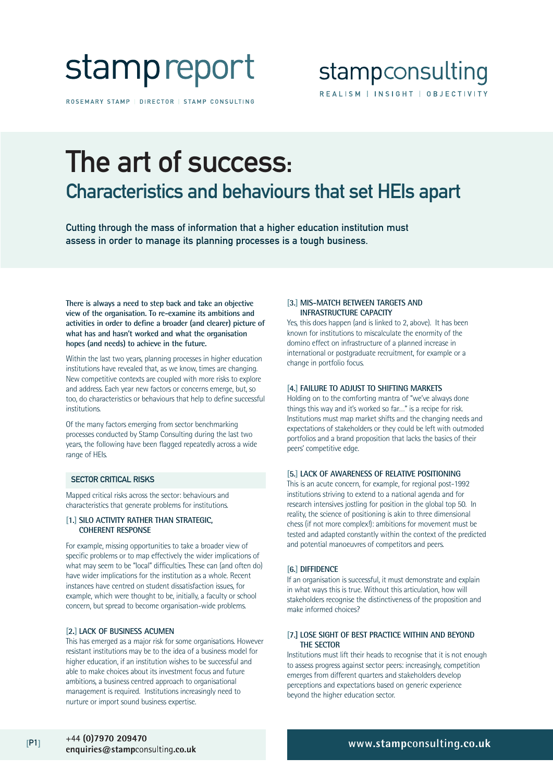# stamp report

ROSEMARY STAMP | DIRECTOR | STAMP CONSULTING

### stampconsulting REALISM | INSIGHT | OBJECTIVITY

## The art of success: Characteristics and behaviours that set HEIs apart

Cutting through the mass of information that a higher education institution must assess in order to manage its planning processes is a tough business.

**There is always a need to step back and take an objective view of the organisation. To re-examine its ambitions and activities in order to define a broader (and clearer) picture of what has and hasn't worked and what the organisation hopes (and needs) to achieve in the future.** 

Within the last two years, planning processes in higher education institutions have revealed that, as we know, times are changing. New competitive contexts are coupled with more risks to explore and address. Each year new factors or concerns emerge, but, so too, do characteristics or behaviours that help to define successful institutions.

Of the many factors emerging from sector benchmarking processes conducted by Stamp Consulting during the last two years, the following have been flagged repeatedly across a wide range of HEIs.

#### SECTOR CRITICAL RISKS

Mapped critical risks across the sector: behaviours and characteristics that generate problems for institutions.

#### **[1.] SILO ACTIVITY RATHER THAN STRATEGIC, COHERENT RESPONSE**

For example, missing opportunities to take a broader view of specific problems or to map effectively the wider implications of what may seem to be "local" difficulties. These can (and often do) have wider implications for the institution as a whole. Recent instances have centred on student dissatisfaction issues, for example, which were thought to be, initially, a faculty or school concern, but spread to become organisation-wide problems.

#### **[2.] LACK OF BUSINESS ACUMEN**

This has emerged as a major risk for some organisations. However resistant institutions may be to the idea of a business model for higher education, if an institution wishes to be successful and able to make choices about its investment focus and future ambitions, a business centred approach to organisational management is required. Institutions increasingly need to nurture or import sound business expertise.

#### **[3.] MIS-MATCH BETWEEN TARGETS AND INFRASTRUCTURE CAPACITY**

Yes, this does happen (and is linked to 2, above). It has been known for institutions to miscalculate the enormity of the domino effect on infrastructure of a planned increase in international or postgraduate recruitment, for example or a change in portfolio focus.

#### **[4.] FAILURE TO ADJUST TO SHIFTING MARKETS**

Holding on to the comforting mantra of "we've always done things this way and it's worked so far…" is a recipe for risk. Institutions must map market shifts and the changing needs and expectations of stakeholders or they could be left with outmoded portfolios and a brand proposition that lacks the basics of their peers' competitive edge.

#### **[5.] LACK OF AWARENESS OF RELATIVE POSITIONING**

This is an acute concern, for example, for regional post-1992 institutions striving to extend to a national agenda and for research intensives jostling for position in the global top 50. In reality, the science of positioning is akin to three dimensional chess (if not more complex!): ambitions for movement must be tested and adapted constantly within the context of the predicted and potential manoeuvres of competitors and peers.

#### **[6.] DIFFIDENCE**

If an organisation is successful, it must demonstrate and explain in what ways this is true. Without this articulation, how will stakeholders recognise the distinctiveness of the proposition and make informed choices?

#### **[7.] LOSE SIGHT OF BEST PRACTICE WITHIN AND BEYOND THE SECTOR**

Institutions must lift their heads to recognise that it is not enough to assess progress against sector peers: increasingly, competition emerges from different quarters and stakeholders develop perceptions and expectations based on generic experience beyond the higher education sector.